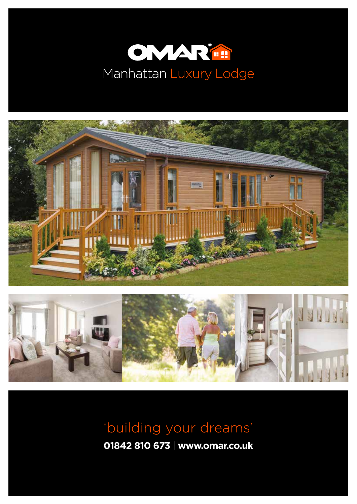





'building your dreams'

**01842 810 673** | **www.omar.co.uk**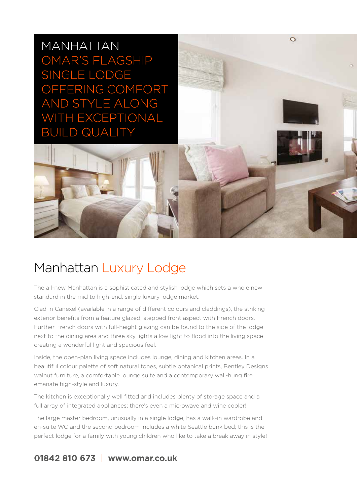MANHATTAN OMAR'S FLAGSHIP SINGLE LODGE OFFERING COMFORT AND STYLE ALONG WITH EXCEPTIONAL **JILD QUALITY** 



The all-new Manhattan is a sophisticated and stylish lodge which sets a whole new standard in the mid to high-end, single luxury lodge market.

 $\Omega$ 

Clad in Canexel (available in a range of different colours and claddings), the striking exterior benefits from a feature glazed, stepped front aspect with French doors. Further French doors with full-height glazing can be found to the side of the lodge next to the dining area and three sky lights allow light to flood into the living space creating a wonderful light and spacious feel.

Inside, the open-plan living space includes lounge, dining and kitchen areas. In a beautiful colour palette of soft natural tones, subtle botanical prints, Bentley Designs walnut furniture, a comfortable lounge suite and a contemporary wall-hung fire emanate high-style and luxury.

The kitchen is exceptionally well fitted and includes plenty of storage space and a full array of integrated appliances; there's even a microwave and wine cooler!

The large master bedroom, unusually in a single lodge, has a walk-in wardrobe and en-suite WC and the second bedroom includes a white Seattle bunk bed; this is the perfect lodge for a family with young children who like to take a break away in style!

# **01842 810 673** | **www.omar.co.uk**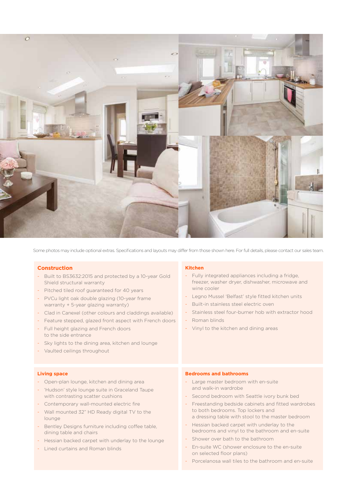

Some photos may include optional extras. Specifications and layouts may differ from those shown here. For full details, please contact our sales team.

### **Construction**

- Built to BS3632:2015 and protected by a 10-year Gold Shield structural warranty
- Pitched tiled roof guaranteed for 40 years
- PVCu light oak double glazing (10-year frame warranty + 5-year glazing warranty)
- Clad in Canexel (other colours and claddings available)
- Feature stepped, glazed front aspect with French doors
- Full height glazing and French doors to the side entrance
- Sky lights to the dining area, kitchen and lounge
- Vaulted ceilings throughout

#### **Kitchen**

- Fully integrated appliances including a fridge, freezer, washer dryer, dishwasher, microwave and wine cooler
- Legno Mussel 'Belfast' style fitted kitchen units
- Built-in stainless steel electric oven
- Stainless steel four-burner hob with extractor hood
- Roman blinds
- Vinyl to the kitchen and dining areas

#### **Living space**

- Open-plan lounge, kitchen and dining area
- 'Hudson' style lounge suite in Graceland Taupe with contrasting scatter cushions
- Contemporary wall-mounted electric fire
- Wall mounted 32" HD Ready digital TV to the lounge
- Bentley Designs furniture including coffee table, dining table and chairs
- Hessian backed carpet with underlay to the lounge
- Lined curtains and Roman blinds

#### **Bedrooms and bathrooms**

- Large master bedroom with en-suite and walk-in wardrobe
- Second bedroom with Seattle ivory bunk bed
- Freestanding bedside cabinets and fitted wardrobes to both bedrooms. Top lockers and a dressing table with stool to the master bedroom
- Hessian backed carpet with underlay to the bedrooms and vinyl to the bathroom and en-suite
- Shower over bath to the bathroom
- En-suite WC (shower enclosure to the en-suite on selected floor plans)
- Porcelanosa wall tiles to the bathroom and en-suite